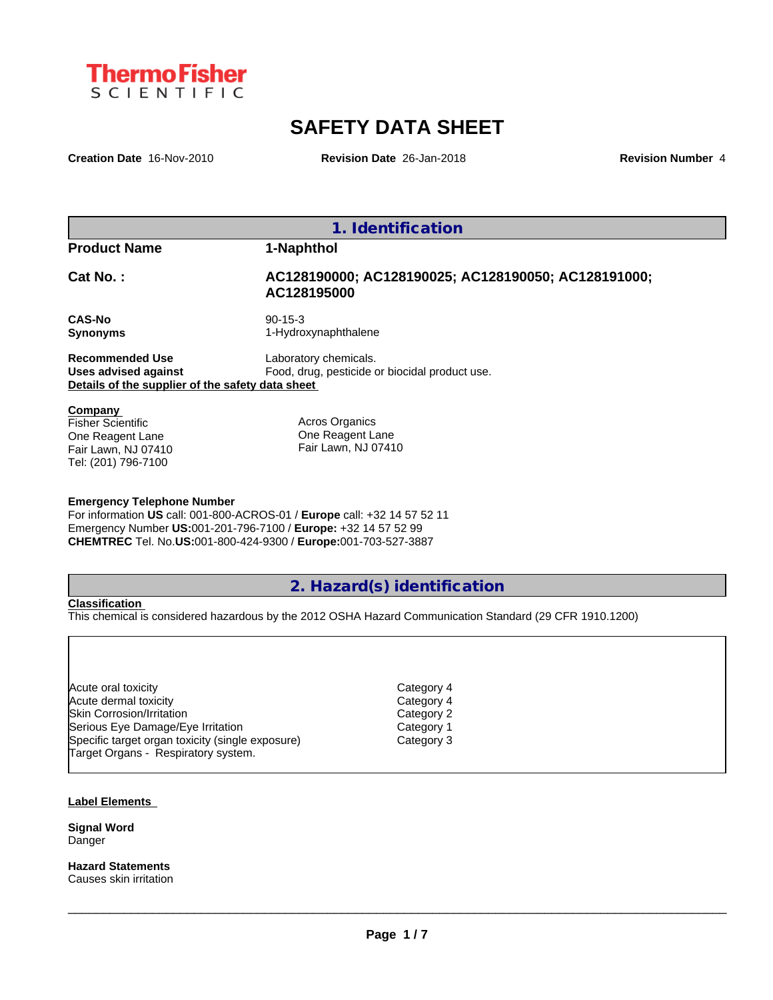

# **SAFETY DATA SHEET**

**Creation Date** 16-Nov-2010 **Revision Date** 26-Jan-2018 **Revision Number** 4

**1. Identification**

**Product Name 1-Naphthol**

## **Cat No. : AC128190000; AC128190025; AC128190050; AC128191000; AC128195000**

**CAS-No** 90-15-3

**Synonyms** 1-Hydroxynaphthalene

**Recommended Use** Laboratory chemicals. **Uses advised against** Food, drug, pesticide or biocidal product use. **Details of the supplier of the safety data sheet**

**Company** 

Fisher Scientific One Reagent Lane Fair Lawn, NJ 07410 Tel: (201) 796-7100

Acros Organics One Reagent Lane Fair Lawn, NJ 07410

### **Emergency Telephone Number**

For information **US** call: 001-800-ACROS-01 / **Europe** call: +32 14 57 52 11 Emergency Number **US:**001-201-796-7100 / **Europe:** +32 14 57 52 99 **CHEMTREC** Tel. No.**US:**001-800-424-9300 / **Europe:**001-703-527-3887

# **2. Hazard(s) identification**

#### **Classification**

This chemical is considered hazardous by the 2012 OSHA Hazard Communication Standard (29 CFR 1910.1200)

| Acute oral toxicity                              |
|--------------------------------------------------|
| Acute dermal toxicity                            |
| Skin Corrosion/Irritation                        |
| Serious Eye Damage/Eye Irritation                |
| Specific target organ toxicity (single exposure) |
| Target Organs - Respiratory system.              |

Category 2 Category 1 Category 3

Category 4 Category 4

#### **Label Elements**

**Signal Word** Danger

**Hazard Statements** Causes skin irritation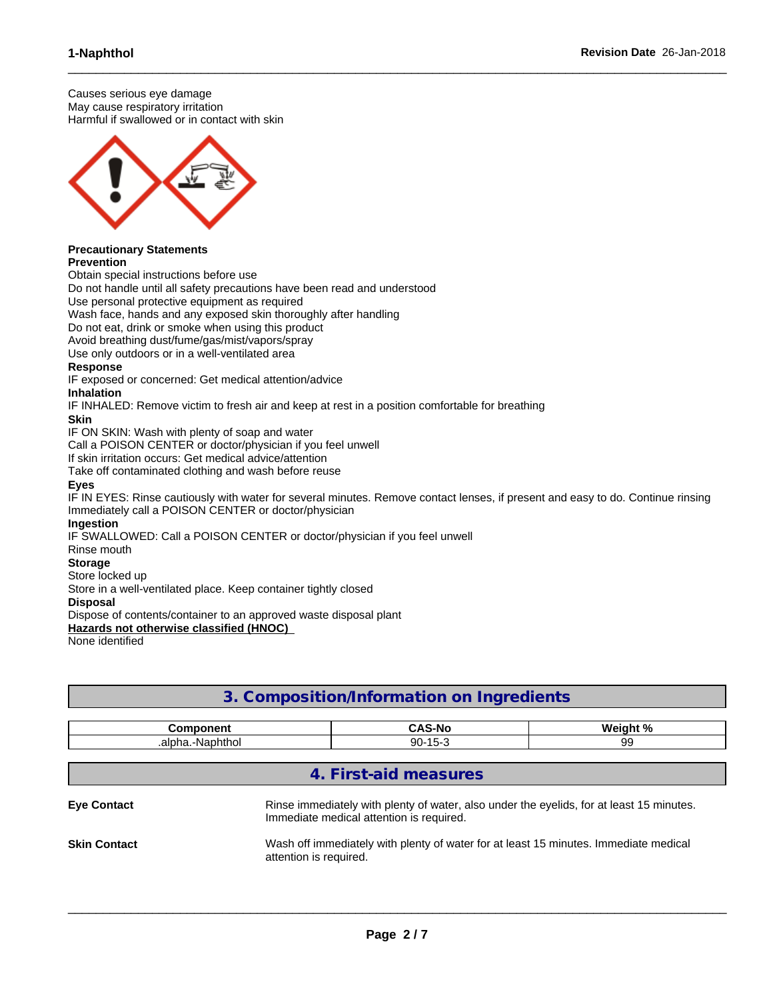Causes serious eye damage May cause respiratory irritation Harmful if swallowed or in contact with skin



#### **Precautionary Statements Prevention**

Obtain special instructions before use

Do not handle until all safety precautions have been read and understood

Use personal protective equipment as required

Wash face, hands and any exposed skin thoroughly after handling

Do not eat, drink or smoke when using this product

Avoid breathing dust/fume/gas/mist/vapors/spray

Use only outdoors or in a well-ventilated area

### **Response**

IF exposed or concerned: Get medical attention/advice

#### **Inhalation**

IF INHALED: Remove victim to fresh air and keep at rest in a position comfortable for breathing

#### **Skin**

IF ON SKIN: Wash with plenty of soap and water

Call a POISON CENTER or doctor/physician if you feel unwell

If skin irritation occurs: Get medical advice/attention

Take off contaminated clothing and wash before reuse

### **Eyes**

IF IN EYES: Rinse cautiously with water for several minutes. Remove contact lenses, if present and easy to do. Continue rinsing Immediately call a POISON CENTER or doctor/physician

 $\_$  ,  $\_$  ,  $\_$  ,  $\_$  ,  $\_$  ,  $\_$  ,  $\_$  ,  $\_$  ,  $\_$  ,  $\_$  ,  $\_$  ,  $\_$  ,  $\_$  ,  $\_$  ,  $\_$  ,  $\_$  ,  $\_$  ,  $\_$  ,  $\_$  ,  $\_$  ,  $\_$  ,  $\_$  ,  $\_$  ,  $\_$  ,  $\_$  ,  $\_$  ,  $\_$  ,  $\_$  ,  $\_$  ,  $\_$  ,  $\_$  ,  $\_$  ,  $\_$  ,  $\_$  ,  $\_$  ,  $\_$  ,  $\_$  ,

#### **Ingestion**

IF SWALLOWED: Call a POISON CENTER or doctor/physician if you feel unwell

Rinse mouth

### **Storage**

Store locked up

Store in a well-ventilated place. Keep container tightly closed

#### **Disposal**

Dispose of contents/container to an approved waste disposal plant

**Hazards not otherwise classified (HNOC)**

None identified

# **3. Composition/Information on Ingredients**

| .<br>הnר.<br>nem    | $\bullet$<br>∽∧√<br>-No<br>-<br>. | <b>1. N</b><br><b>Wein</b><br>. |
|---------------------|-----------------------------------|---------------------------------|
| .-Naphtho<br>.alpha | .<br>റ<br>. .<br>JU<br>. .        | $\cdot$                         |

# **4. First-aid measures**

| <b>Eve Contact</b>  | Rinse immediately with plenty of water, also under the eyelids, for at least 15 minutes.<br>Immediate medical attention is required. |
|---------------------|--------------------------------------------------------------------------------------------------------------------------------------|
| <b>Skin Contact</b> | Wash off immediately with plenty of water for at least 15 minutes. Immediate medical<br>attention is required.                       |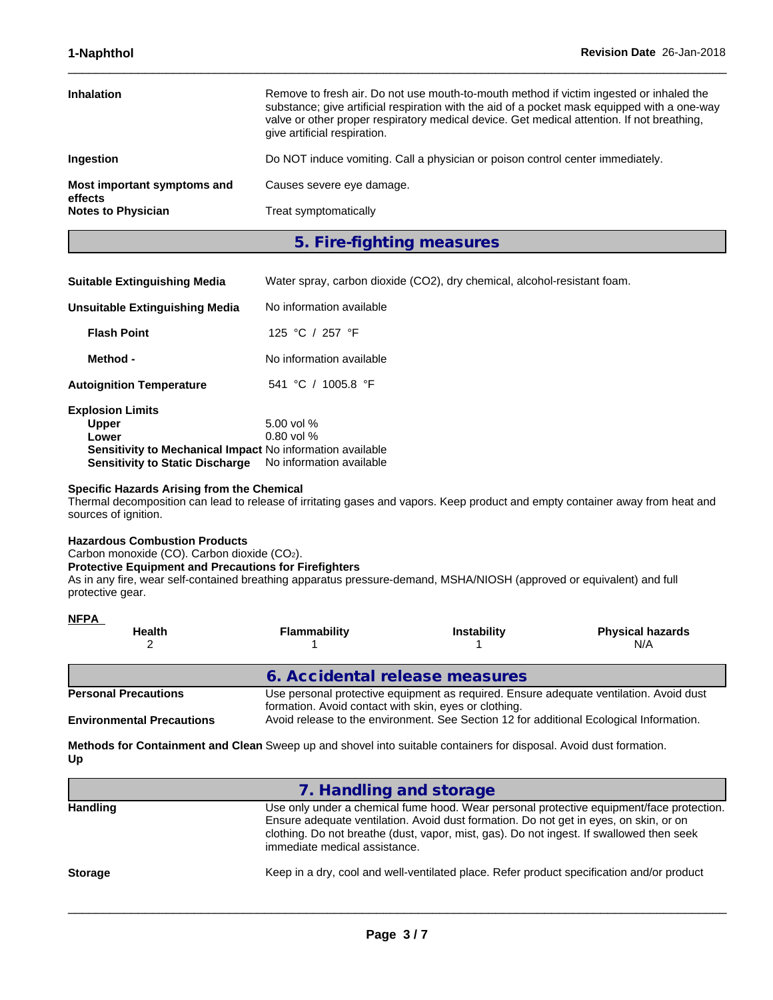| <b>Inhalation</b>                      | Remove to fresh air. Do not use mouth-to-mouth method if victim ingested or inhaled the<br>substance; give artificial respiration with the aid of a pocket mask equipped with a one-way<br>valve or other proper respiratory medical device. Get medical attention. If not breathing,<br>give artificial respiration. |
|----------------------------------------|-----------------------------------------------------------------------------------------------------------------------------------------------------------------------------------------------------------------------------------------------------------------------------------------------------------------------|
| <b>Ingestion</b>                       | Do NOT induce vomiting. Call a physician or poison control center immediately.                                                                                                                                                                                                                                        |
| Most important symptoms and<br>effects | Causes severe eye damage.                                                                                                                                                                                                                                                                                             |
| <b>Notes to Physician</b>              | Treat symptomatically                                                                                                                                                                                                                                                                                                 |
|                                        |                                                                                                                                                                                                                                                                                                                       |

 $\_$  ,  $\_$  ,  $\_$  ,  $\_$  ,  $\_$  ,  $\_$  ,  $\_$  ,  $\_$  ,  $\_$  ,  $\_$  ,  $\_$  ,  $\_$  ,  $\_$  ,  $\_$  ,  $\_$  ,  $\_$  ,  $\_$  ,  $\_$  ,  $\_$  ,  $\_$  ,  $\_$  ,  $\_$  ,  $\_$  ,  $\_$  ,  $\_$  ,  $\_$  ,  $\_$  ,  $\_$  ,  $\_$  ,  $\_$  ,  $\_$  ,  $\_$  ,  $\_$  ,  $\_$  ,  $\_$  ,  $\_$  ,  $\_$  ,

**5. Fire-fighting measures**

| <b>Suitable Extinguishing Media</b> | Water spray, carbon dioxide (CO2), dry chemical, alcohol-resistant foam. |  |
|-------------------------------------|--------------------------------------------------------------------------|--|
|-------------------------------------|--------------------------------------------------------------------------|--|

| Unsuitable Extinguishing Media                            | No information available |  |
|-----------------------------------------------------------|--------------------------|--|
| <b>Flash Point</b>                                        | 125 °C / 257 °F          |  |
| Method -                                                  | No information available |  |
| <b>Autoignition Temperature</b>                           | 541 °C / 1005.8 °F       |  |
| <b>Explosion Limits</b>                                   |                          |  |
| <b>Upper</b>                                              | 5.00 vol $%$             |  |
| Lower                                                     | $0.80$ vol %             |  |
| Sensitivity to Mechanical Impact No information available |                          |  |
| <b>Sensitivity to Static Discharge</b>                    | No information available |  |

#### **Specific Hazards Arising from the Chemical**

Thermal decomposition can lead to release of irritating gases and vapors. Keep product and empty container away from heat and sources of ignition.

#### **Hazardous Combustion Products**

**NFPA** 

Carbon monoxide (CO). Carbon dioxide (CO2).

**Protective Equipment and Precautions for Firefighters**

As in any fire, wear self-contained breathing apparatus pressure-demand, MSHA/NIOSH (approved or equivalent) and full protective gear.

| <u>NFFA</u><br><b>Health</b>     | Flammability                                                                                                                                                                                                                               | <b>Instability</b> | <b>Physical hazards</b><br>N/A |
|----------------------------------|--------------------------------------------------------------------------------------------------------------------------------------------------------------------------------------------------------------------------------------------|--------------------|--------------------------------|
|                                  | 6. Accidental release measures                                                                                                                                                                                                             |                    |                                |
| <b>Personal Precautions</b>      | Use personal protective equipment as required. Ensure adequate ventilation. Avoid dust<br>formation. Avoid contact with skin, eyes or clothing.<br>Avoid release to the environment. See Section 12 for additional Ecological Information. |                    |                                |
| <b>Environmental Precautions</b> |                                                                                                                                                                                                                                            |                    |                                |

**Methods for Containment and Clean** Sweep up and shovel into suitable containers for disposal. Avoid dust formation. **Up**

|                 | 7. Handling and storage                                                                                                                                                                                                                                                                                        |
|-----------------|----------------------------------------------------------------------------------------------------------------------------------------------------------------------------------------------------------------------------------------------------------------------------------------------------------------|
| <b>Handling</b> | Use only under a chemical fume hood. Wear personal protective equipment/face protection.<br>Ensure adequate ventilation. Avoid dust formation. Do not get in eyes, on skin, or on<br>clothing. Do not breathe (dust, vapor, mist, gas). Do not ingest. If swallowed then seek<br>immediate medical assistance. |
| <b>Storage</b>  | Keep in a dry, cool and well-ventilated place. Refer product specification and/or product                                                                                                                                                                                                                      |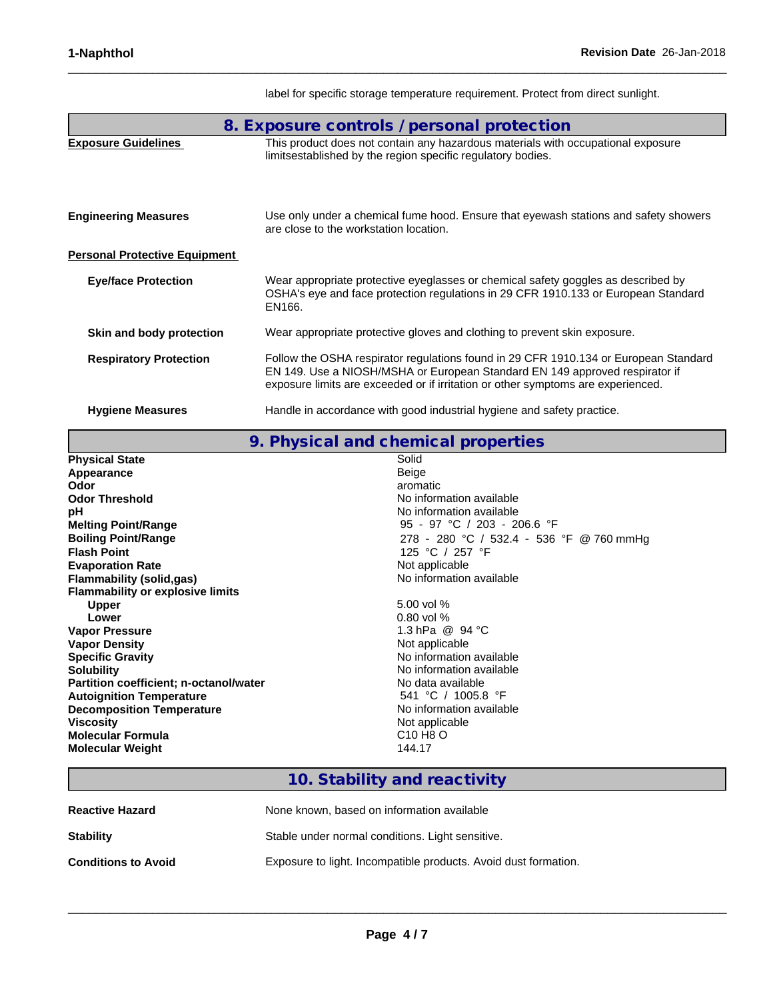| 8. Exposure controls / personal protection |                                                                                                                                                                                                                                                         |  |
|--------------------------------------------|---------------------------------------------------------------------------------------------------------------------------------------------------------------------------------------------------------------------------------------------------------|--|
| <b>Exposure Guidelines</b>                 | This product does not contain any hazardous materials with occupational exposure<br>limitsestablished by the region specific regulatory bodies.                                                                                                         |  |
| <b>Engineering Measures</b>                | Use only under a chemical fume hood. Ensure that eyewash stations and safety showers<br>are close to the workstation location.                                                                                                                          |  |
| <b>Personal Protective Equipment</b>       |                                                                                                                                                                                                                                                         |  |
| <b>Eye/face Protection</b>                 | Wear appropriate protective eyeglasses or chemical safety goggles as described by<br>OSHA's eye and face protection regulations in 29 CFR 1910.133 or European Standard<br>EN166.                                                                       |  |
| Skin and body protection                   | Wear appropriate protective gloves and clothing to prevent skin exposure.                                                                                                                                                                               |  |
| <b>Respiratory Protection</b>              | Follow the OSHA respirator regulations found in 29 CFR 1910.134 or European Standard<br>EN 149. Use a NIOSH/MSHA or European Standard EN 149 approved respirator if<br>exposure limits are exceeded or if irritation or other symptoms are experienced. |  |
| <b>Hygiene Measures</b>                    | Handle in accordance with good industrial hygiene and safety practice.                                                                                                                                                                                  |  |

label for specific storage temperature requirement. Protect from direct sunlight.

 $\_$  ,  $\_$  ,  $\_$  ,  $\_$  ,  $\_$  ,  $\_$  ,  $\_$  ,  $\_$  ,  $\_$  ,  $\_$  ,  $\_$  ,  $\_$  ,  $\_$  ,  $\_$  ,  $\_$  ,  $\_$  ,  $\_$  ,  $\_$  ,  $\_$  ,  $\_$  ,  $\_$  ,  $\_$  ,  $\_$  ,  $\_$  ,  $\_$  ,  $\_$  ,  $\_$  ,  $\_$  ,  $\_$  ,  $\_$  ,  $\_$  ,  $\_$  ,  $\_$  ,  $\_$  ,  $\_$  ,  $\_$  ,  $\_$  ,

| <b>Physical State</b>                   | Solid                                    |
|-----------------------------------------|------------------------------------------|
| Appearance                              | Beige                                    |
| Odor                                    | aromatic                                 |
| <b>Odor Threshold</b>                   | No information available                 |
| рH                                      | No information available                 |
| <b>Melting Point/Range</b>              | 95 - 97 °C / 203 - 206.6 °F              |
| <b>Boiling Point/Range</b>              | 278 - 280 °C / 532.4 - 536 °F @ 760 mmHg |
| <b>Flash Point</b>                      | 125 °C / 257 °F                          |
| <b>Evaporation Rate</b>                 | Not applicable                           |
| Flammability (solid,gas)                | No information available                 |
| <b>Flammability or explosive limits</b> |                                          |
| <b>Upper</b>                            | 5.00 vol $%$                             |
| Lower                                   | $0.80$ vol %                             |
| <b>Vapor Pressure</b>                   | 1.3 hPa @ 94 °C                          |
| <b>Vapor Density</b>                    | Not applicable                           |
| <b>Specific Gravity</b>                 | No information available                 |
| <b>Solubility</b>                       | No information available                 |
| Partition coefficient; n-octanol/water  | No data available                        |
| <b>Autoignition Temperature</b>         | 541 °C / 1005.8 °F                       |
| <b>Decomposition Temperature</b>        | No information available                 |
| <b>Viscosity</b>                        | Not applicable                           |
| Molecular Formula                       | C <sub>10</sub> H <sub>8</sub> O         |
| <b>Molecular Weight</b>                 | 144.17                                   |

# **10. Stability and reactivity**

| <b>Reactive Hazard</b>     | None known, based on information available                      |
|----------------------------|-----------------------------------------------------------------|
| <b>Stability</b>           | Stable under normal conditions. Light sensitive.                |
| <b>Conditions to Avoid</b> | Exposure to light. Incompatible products. Avoid dust formation. |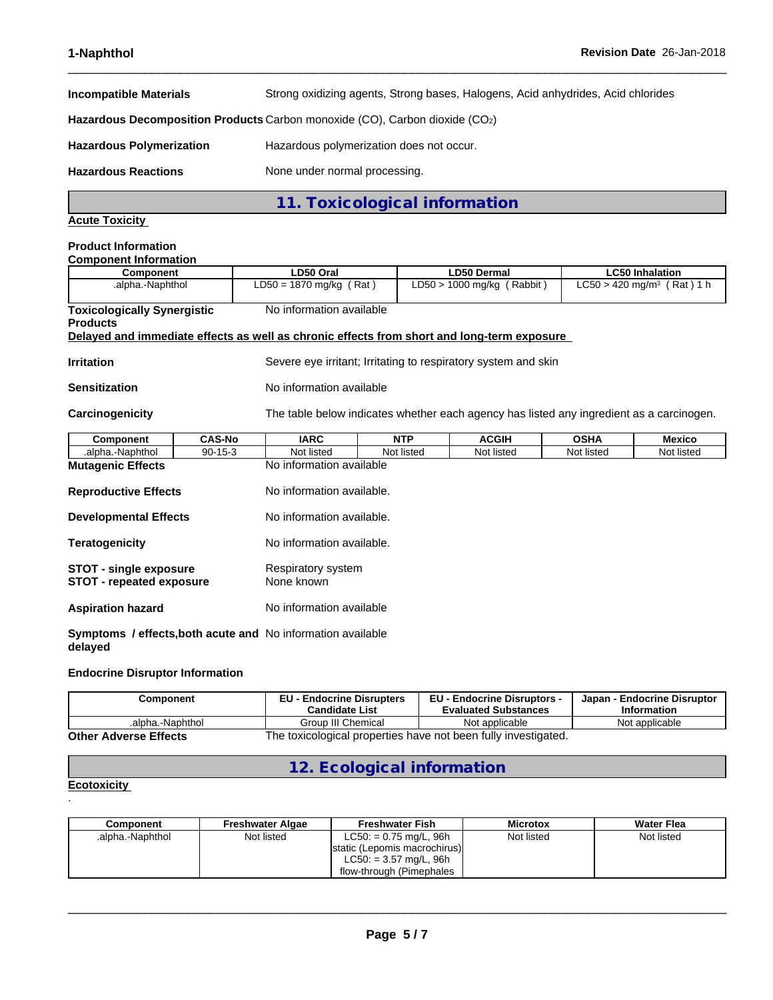**Incompatible Materials** Strong oxidizing agents, Strong bases, Halogens, Acid anhydrides, Acid chlorides **Hazardous Decomposition Products** Carbon monoxide (CO), Carbon dioxide (CO2) **Hazardous Polymerization** Hazardous polymerization does not occur. Hazardous Reactions **None under normal processing**.

 $\_$  ,  $\_$  ,  $\_$  ,  $\_$  ,  $\_$  ,  $\_$  ,  $\_$  ,  $\_$  ,  $\_$  ,  $\_$  ,  $\_$  ,  $\_$  ,  $\_$  ,  $\_$  ,  $\_$  ,  $\_$  ,  $\_$  ,  $\_$  ,  $\_$  ,  $\_$  ,  $\_$  ,  $\_$  ,  $\_$  ,  $\_$  ,  $\_$  ,  $\_$  ,  $\_$  ,  $\_$  ,  $\_$  ,  $\_$  ,  $\_$  ,  $\_$  ,  $\_$  ,  $\_$  ,  $\_$  ,  $\_$  ,  $\_$  ,

**11. Toxicological information**

## **Acute Toxicity**

#### **Product Information Component Information**

| COMPONENT INTOHIAGON               |                                                                                            |                                                                |                                          |  |
|------------------------------------|--------------------------------------------------------------------------------------------|----------------------------------------------------------------|------------------------------------------|--|
| Component                          | LD50 Oral                                                                                  | LD50 Dermal                                                    |                                          |  |
| .alpha.-Naphthol                   | $LD50 = 1870$ mg/kg (Rat)                                                                  | $LD50 > 1000$ mg/kg (Rabbit)                                   | $LC50 > 420$ mg/m <sup>3</sup> (Rat) 1 h |  |
| <b>Toxicologically Synergistic</b> | No information available                                                                   |                                                                |                                          |  |
| <b>Products</b>                    |                                                                                            |                                                                |                                          |  |
|                                    | Delayed and immediate effects as well as chronic effects from short and long-term exposure |                                                                |                                          |  |
| <b>Irritation</b>                  |                                                                                            | Severe eye irritant; Irritating to respiratory system and skin |                                          |  |
| $R$ anaiti-atian                   | No information available                                                                   |                                                                |                                          |  |

**Sensitization** No information available

**Carcinogenicity** The table below indicateswhether each agency has listed any ingredient as a carcinogen.

| Component                                                                      | <b>CAS-No</b> | <b>IARC</b>               | <b>NTP</b> | <b>ACGIH</b> | <b>OSHA</b> | Mexico     |
|--------------------------------------------------------------------------------|---------------|---------------------------|------------|--------------|-------------|------------|
| .alpha.-Naphthol                                                               | $90-15-3$     | Not listed                | Not listed | Not listed   | Not listed  | Not listed |
| <b>Mutagenic Effects</b>                                                       |               | No information available  |            |              |             |            |
| <b>Reproductive Effects</b>                                                    |               | No information available. |            |              |             |            |
| <b>Developmental Effects</b>                                                   |               | No information available. |            |              |             |            |
| <b>Teratogenicity</b>                                                          |               | No information available. |            |              |             |            |
| <b>STOT - single exposure</b><br><b>STOT - repeated exposure</b><br>None known |               | Respiratory system        |            |              |             |            |
| <b>Aspiration hazard</b>                                                       |               | No information available  |            |              |             |            |
| <b>Symptoms / effects, both acute and No information available</b><br>delayed  |               |                           |            |              |             |            |

#### **Endocrine Disruptor Information**

| Component                    | <b>EU - Endocrine Disrupters</b><br><b>Candidate List</b>      | <b>EU - Endocrine Disruptors -</b><br><b>Evaluated Substances</b> | Japan - Endocrine Disruptor<br><b>Information</b> |
|------------------------------|----------------------------------------------------------------|-------------------------------------------------------------------|---------------------------------------------------|
| .alpha.-Naphthol             | Group III Chemical                                             | Not applicable                                                    | Not applicable                                    |
| <b>Other Adverse Effects</b> | The toxicological properties have not been fully investigated. |                                                                   |                                                   |

**12. Ecological information**

#### **Ecotoxicity**  .

| Component        | Freshwater Algae | <b>Freshwater Fish</b>        | <b>Microtox</b> | <b>Water Flea</b> |
|------------------|------------------|-------------------------------|-----------------|-------------------|
| .alpha.-Naphthol | Not listed       | $LC50: = 0.75$ mg/L, 96h      | Not listed      | Not listed        |
|                  |                  | Istatic (Lepomis macrochirus) |                 |                   |
|                  |                  | $LC50: = 3.57$ mg/L, 96h      |                 |                   |
|                  |                  | flow-through (Pimephales      |                 |                   |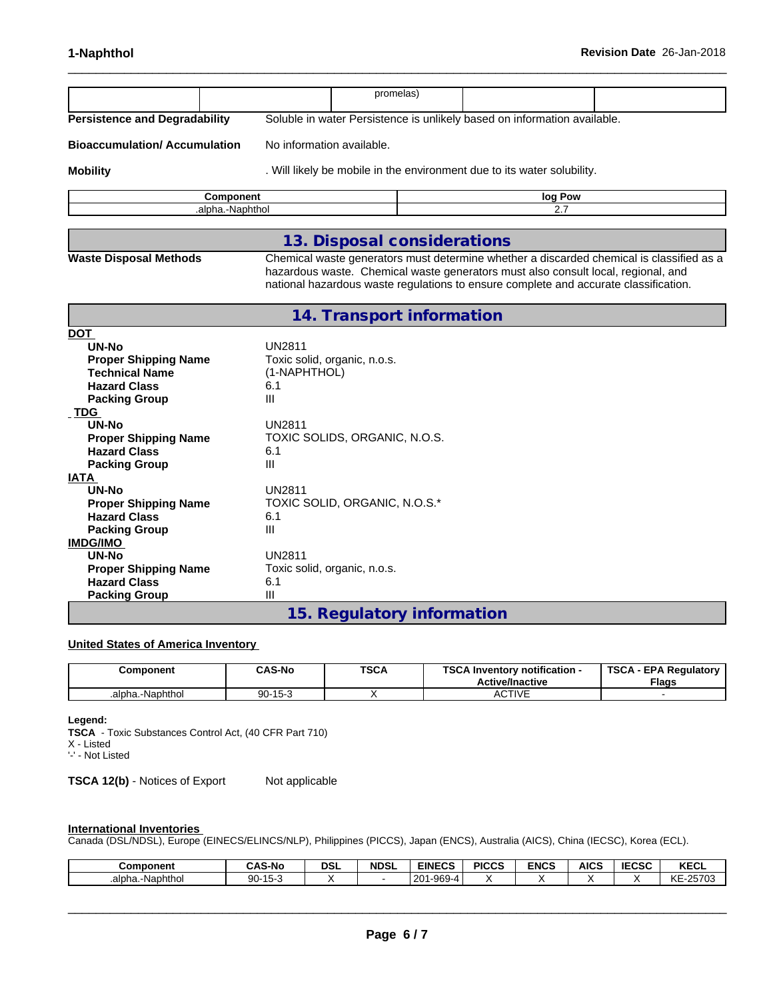|                                      |                                                                                                                                                                           | promelas) |         |                                                                                          |
|--------------------------------------|---------------------------------------------------------------------------------------------------------------------------------------------------------------------------|-----------|---------|------------------------------------------------------------------------------------------|
|                                      |                                                                                                                                                                           |           |         |                                                                                          |
| <b>Persistence and Degradability</b> | Soluble in water Persistence is unlikely based on information available.                                                                                                  |           |         |                                                                                          |
| <b>Bioaccumulation/Accumulation</b>  | No information available.                                                                                                                                                 |           |         |                                                                                          |
| <b>Mobility</b>                      | . Will likely be mobile in the environment due to its water solubility.                                                                                                   |           |         |                                                                                          |
| Component                            |                                                                                                                                                                           |           | log Pow |                                                                                          |
| .alpha.-Naphthol                     |                                                                                                                                                                           |           | 2.7     |                                                                                          |
|                                      |                                                                                                                                                                           |           |         |                                                                                          |
|                                      | 13. Disposal considerations                                                                                                                                               |           |         |                                                                                          |
| <b>Waste Disposal Methods</b>        | hazardous waste. Chemical waste generators must also consult local, regional, and<br>national hazardous waste regulations to ensure complete and accurate classification. |           |         | Chemical waste generators must determine whether a discarded chemical is classified as a |
|                                      | 14. Transport information                                                                                                                                                 |           |         |                                                                                          |
| <b>DOT</b>                           |                                                                                                                                                                           |           |         |                                                                                          |
| UN-No                                | <b>UN2811</b>                                                                                                                                                             |           |         |                                                                                          |
| <b>Proper Shipping Name</b>          | Toxic solid, organic, n.o.s.                                                                                                                                              |           |         |                                                                                          |
| <b>Technical Name</b>                | (1-NAPHTHOL)                                                                                                                                                              |           |         |                                                                                          |
| <b>Hazard Class</b>                  | 6.1                                                                                                                                                                       |           |         |                                                                                          |
| <b>Packing Group</b>                 | III                                                                                                                                                                       |           |         |                                                                                          |
| <b>TDG</b>                           |                                                                                                                                                                           |           |         |                                                                                          |
| <b>UN-No</b>                         | <b>UN2811</b>                                                                                                                                                             |           |         |                                                                                          |
| <b>Proper Shipping Name</b>          | TOXIC SOLIDS, ORGANIC, N.O.S.                                                                                                                                             |           |         |                                                                                          |
| <b>Hazard Class</b>                  | 6.1                                                                                                                                                                       |           |         |                                                                                          |
| <b>Packing Group</b><br><b>IATA</b>  | III                                                                                                                                                                       |           |         |                                                                                          |
| <b>UN-No</b>                         | <b>UN2811</b>                                                                                                                                                             |           |         |                                                                                          |
| <b>Proper Shipping Name</b>          | TOXIC SOLID, ORGANIC, N.O.S.*                                                                                                                                             |           |         |                                                                                          |
| <b>Hazard Class</b>                  | 6.1                                                                                                                                                                       |           |         |                                                                                          |
| <b>Packing Group</b>                 | Ш                                                                                                                                                                         |           |         |                                                                                          |
| <b>IMDG/IMO</b>                      |                                                                                                                                                                           |           |         |                                                                                          |
| UN-No                                | <b>UN2811</b>                                                                                                                                                             |           |         |                                                                                          |
| <b>Proper Shipping Name</b>          | Toxic solid, organic, n.o.s.                                                                                                                                              |           |         |                                                                                          |
| <b>Hazard Class</b>                  | 6.1                                                                                                                                                                       |           |         |                                                                                          |
| <b>Packing Group</b>                 | Ш                                                                                                                                                                         |           |         |                                                                                          |

# **15. Regulatory information**

# **United States of America Inventory**

| :omponent        | <b>CAS-No</b> | <b>TSCA</b> | <b>TCOA</b><br>. Inventory notification -<br><b>Active/Inactive</b> | <b>TSCA</b><br>- EPA Regulatory<br><b>Flags</b> |
|------------------|---------------|-------------|---------------------------------------------------------------------|-------------------------------------------------|
| .alpha.-Naphthol | $90 - 15 - 3$ |             | <b>CTIVE</b><br>∼                                                   |                                                 |

#### **Legend:**

**TSCA** - Toxic Substances Control Act, (40 CFR Part 710) X - Listed '-' - Not Listed

**TSCA 12(b)** - Notices of Export Not applicable

### **International Inventories**

Canada (DSL/NDSL), Europe (EINECS/ELINCS/NLP), Philippines (PICCS), Japan (ENCS), Australia (AICS), China (IECSC), Korea (ECL).

| Component                   | <b>CAS-No</b>            | DSL | <b>NDSL</b> | <b>EINECS</b>               | <b>PICCS</b> | <b>ENCS</b> | <b>AICS</b> | <b>IECSC</b> | <b>KECL</b>    |
|-----------------------------|--------------------------|-----|-------------|-----------------------------|--------------|-------------|-------------|--------------|----------------|
| ∖.-Naphthol<br>lbha.<br>.a. | $  -$<br>$90 -$<br>I O-C |     |             | LAGA<br>.001<br>ט∠ו<br>ັບບບ |              |             |             |              | $-25703$<br>ΚE |